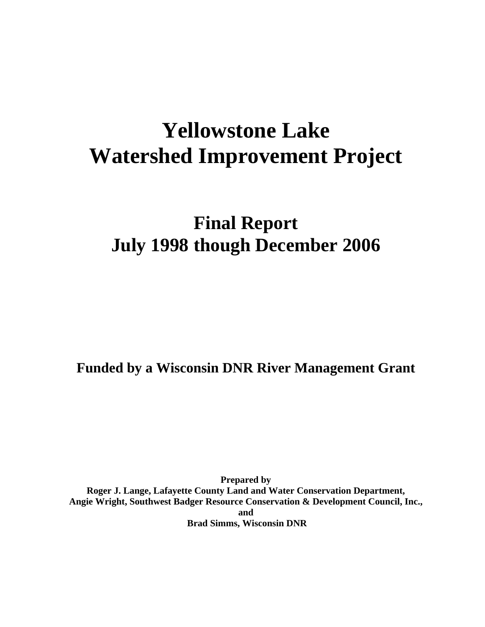# **Yellowstone Lake Watershed Improvement Project**

# **Final Report July 1998 though December 2006**

**Funded by a Wisconsin DNR River Management Grant** 

**Prepared by Roger J. Lange, Lafayette County Land and Water Conservation Department, Angie Wright, Southwest Badger Resource Conservation & Development Council, Inc., and Brad Simms, Wisconsin DNR**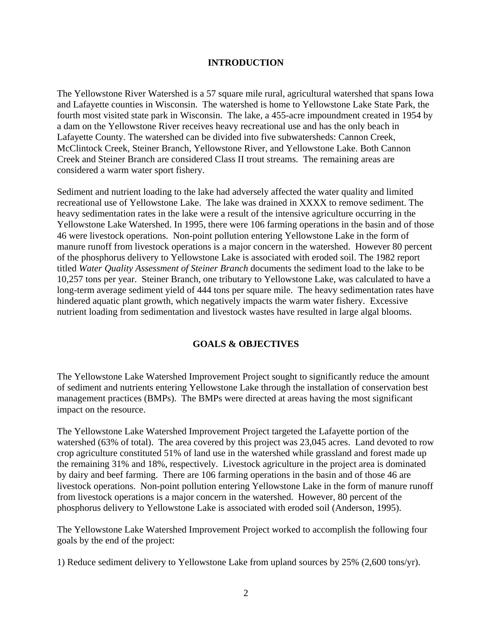# **INTRODUCTION**

The Yellowstone River Watershed is a 57 square mile rural, agricultural watershed that spans Iowa and Lafayette counties in Wisconsin. The watershed is home to Yellowstone Lake State Park, the fourth most visited state park in Wisconsin. The lake, a 455-acre impoundment created in 1954 by a dam on the Yellowstone River receives heavy recreational use and has the only beach in Lafayette County. The watershed can be divided into five subwatersheds: Cannon Creek, McClintock Creek, Steiner Branch, Yellowstone River, and Yellowstone Lake. Both Cannon Creek and Steiner Branch are considered Class II trout streams. The remaining areas are considered a warm water sport fishery.

Sediment and nutrient loading to the lake had adversely affected the water quality and limited recreational use of Yellowstone Lake. The lake was drained in XXXX to remove sediment. The heavy sedimentation rates in the lake were a result of the intensive agriculture occurring in the Yellowstone Lake Watershed. In 1995, there were 106 farming operations in the basin and of those 46 were livestock operations. Non-point pollution entering Yellowstone Lake in the form of manure runoff from livestock operations is a major concern in the watershed. However 80 percent of the phosphorus delivery to Yellowstone Lake is associated with eroded soil. The 1982 report titled *Water Quality Assessment of Steiner Branch* documents the sediment load to the lake to be 10,257 tons per year. Steiner Branch, one tributary to Yellowstone Lake, was calculated to have a long-term average sediment yield of 444 tons per square mile. The heavy sedimentation rates have hindered aquatic plant growth, which negatively impacts the warm water fishery. Excessive nutrient loading from sedimentation and livestock wastes have resulted in large algal blooms.

# **GOALS & OBJECTIVES**

The Yellowstone Lake Watershed Improvement Project sought to significantly reduce the amount of sediment and nutrients entering Yellowstone Lake through the installation of conservation best management practices (BMPs). The BMPs were directed at areas having the most significant impact on the resource.

The Yellowstone Lake Watershed Improvement Project targeted the Lafayette portion of the watershed (63% of total). The area covered by this project was 23,045 acres. Land devoted to row crop agriculture constituted 51% of land use in the watershed while grassland and forest made up the remaining 31% and 18%, respectively. Livestock agriculture in the project area is dominated by dairy and beef farming. There are 106 farming operations in the basin and of those 46 are livestock operations. Non-point pollution entering Yellowstone Lake in the form of manure runoff from livestock operations is a major concern in the watershed. However, 80 percent of the phosphorus delivery to Yellowstone Lake is associated with eroded soil (Anderson, 1995).

The Yellowstone Lake Watershed Improvement Project worked to accomplish the following four goals by the end of the project:

1) Reduce sediment delivery to Yellowstone Lake from upland sources by 25% (2,600 tons/yr).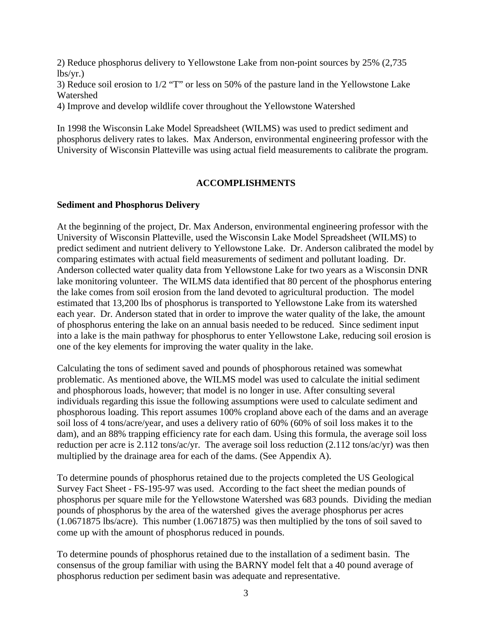2) Reduce phosphorus delivery to Yellowstone Lake from non-point sources by 25% (2,735 lbs/yr.)

3) Reduce soil erosion to 1/2 "T" or less on 50% of the pasture land in the Yellowstone Lake Watershed

4) Improve and develop wildlife cover throughout the Yellowstone Watershed

In 1998 the Wisconsin Lake Model Spreadsheet (WILMS) was used to predict sediment and phosphorus delivery rates to lakes. Max Anderson, environmental engineering professor with the University of Wisconsin Platteville was using actual field measurements to calibrate the program.

# **ACCOMPLISHMENTS**

# **Sediment and Phosphorus Delivery**

At the beginning of the project, Dr. Max Anderson, environmental engineering professor with the University of Wisconsin Platteville, used the Wisconsin Lake Model Spreadsheet (WILMS) to predict sediment and nutrient delivery to Yellowstone Lake. Dr. Anderson calibrated the model by comparing estimates with actual field measurements of sediment and pollutant loading. Dr. Anderson collected water quality data from Yellowstone Lake for two years as a Wisconsin DNR lake monitoring volunteer. The WILMS data identified that 80 percent of the phosphorus entering the lake comes from soil erosion from the land devoted to agricultural production. The model estimated that 13,200 lbs of phosphorus is transported to Yellowstone Lake from its watershed each year. Dr. Anderson stated that in order to improve the water quality of the lake, the amount of phosphorus entering the lake on an annual basis needed to be reduced. Since sediment input into a lake is the main pathway for phosphorus to enter Yellowstone Lake, reducing soil erosion is one of the key elements for improving the water quality in the lake.

Calculating the tons of sediment saved and pounds of phosphorous retained was somewhat problematic. As mentioned above, the WILMS model was used to calculate the initial sediment and phosphorous loads, however; that model is no longer in use. After consulting several individuals regarding this issue the following assumptions were used to calculate sediment and phosphorous loading. This report assumes 100% cropland above each of the dams and an average soil loss of 4 tons/acre/year, and uses a delivery ratio of 60% (60% of soil loss makes it to the dam), and an 88% trapping efficiency rate for each dam. Using this formula, the average soil loss reduction per acre is 2.112 tons/ac/yr. The average soil loss reduction (2.112 tons/ac/yr) was then multiplied by the drainage area for each of the dams. (See Appendix A).

To determine pounds of phosphorus retained due to the projects completed the US Geological Survey Fact Sheet - FS-195-97 was used. According to the fact sheet the median pounds of phosphorus per square mile for the Yellowstone Watershed was 683 pounds. Dividing the median pounds of phosphorus by the area of the watershed gives the average phosphorus per acres (1.0671875 lbs/acre). This number (1.0671875) was then multiplied by the tons of soil saved to come up with the amount of phosphorus reduced in pounds.

To determine pounds of phosphorus retained due to the installation of a sediment basin. The consensus of the group familiar with using the BARNY model felt that a 40 pound average of phosphorus reduction per sediment basin was adequate and representative.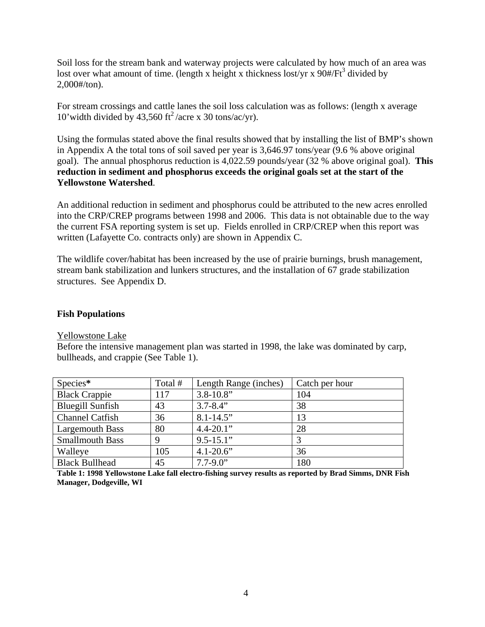Soil loss for the stream bank and waterway projects were calculated by how much of an area was lost over what amount of time. (length x height x thickness lost/yr x  $90#/Ft^3$  divided by 2,000#/ton).

For stream crossings and cattle lanes the soil loss calculation was as follows: (length x average 10' width divided by 43,560 ft<sup>2</sup>/acre x 30 tons/ac/yr).

Using the formulas stated above the final results showed that by installing the list of BMP's shown in Appendix A the total tons of soil saved per year is 3,646.97 tons/year (9.6 % above original goal). The annual phosphorus reduction is 4,022.59 pounds/year (32 % above original goal). **This reduction in sediment and phosphorus exceeds the original goals set at the start of the Yellowstone Watershed**.

An additional reduction in sediment and phosphorus could be attributed to the new acres enrolled into the CRP/CREP programs between 1998 and 2006. This data is not obtainable due to the way the current FSA reporting system is set up. Fields enrolled in CRP/CREP when this report was written (Lafayette Co. contracts only) are shown in Appendix C.

The wildlife cover/habitat has been increased by the use of prairie burnings, brush management, stream bank stabilization and lunkers structures, and the installation of 67 grade stabilization structures. See Appendix D.

# **Fish Populations**

Yellowstone Lake

Before the intensive management plan was started in 1998, the lake was dominated by carp, bullheads, and crappie (See Table 1).

| Species*                | Total # | Length Range (inches) | Catch per hour |
|-------------------------|---------|-----------------------|----------------|
| <b>Black Crappie</b>    | 117     | $3.8 - 10.8$ "        | 104            |
| <b>Bluegill Sunfish</b> | 43      | $3.7 - 8.4$ "         | 38             |
| <b>Channel Catfish</b>  | 36      | $8.1 - 14.5$ "        | 13             |
| Largemouth Bass         | 80      | $4.4 - 20.1"$         | 28             |
| <b>Smallmouth Bass</b>  | 9       | $9.5 - 15.1$ "        | 3              |
| Walleye                 | 105     | $4.1 - 20.6$ "        | 36             |
| <b>Black Bullhead</b>   | 45      | $7.7 - 9.0$ "         | 180            |

**Table 1: 1998 Yellowstone Lake fall electro-fishing survey results as reported by Brad Simms, DNR Fish Manager, Dodgeville, WI**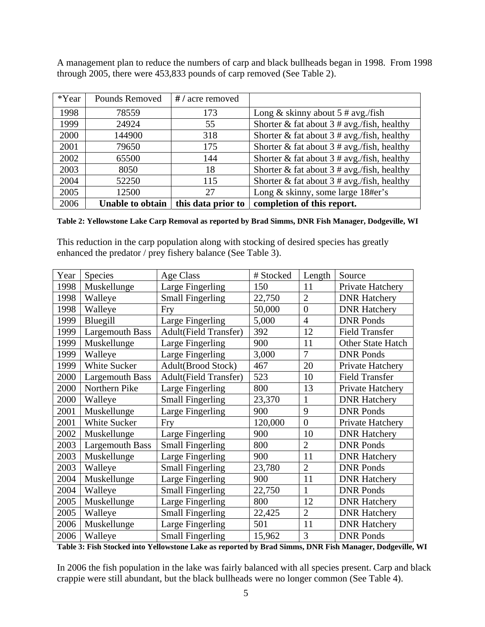A management plan to reduce the numbers of carp and black bullheads began in 1998. From 1998 through 2005, there were 453,833 pounds of carp removed (See Table 2).

| *Year | Pounds Removed          | #/acre removed     |                                                |
|-------|-------------------------|--------------------|------------------------------------------------|
| 1998  | 78559                   | 173                | Long & skinny about $5 \# avg$ . /fish         |
| 1999  | 24924                   | 55                 | Shorter & fat about $3 \# avg$ /fish, healthy  |
| 2000  | 144900                  | 318                | Shorter & fat about $3 \# avg$ . fish, healthy |
| 2001  | 79650                   | 175                | Shorter & fat about $3 \# avg$ . fish, healthy |
| 2002  | 65500                   | 144                | Shorter & fat about $3 \# avg$ . fish, healthy |
| 2003  | 8050                    | 18                 | Shorter & fat about $3 \# avg$ . fish, healthy |
| 2004  | 52250                   | 115                | Shorter & fat about $3 \# avg$ . fish, healthy |
| 2005  | 12500                   | 27                 | Long & skinny, some large 18#er's              |
| 2006  | <b>Unable to obtain</b> | this data prior to | completion of this report.                     |

#### **Table 2: Yellowstone Lake Carp Removal as reported by Brad Simms, DNR Fish Manager, Dodgeville, WI**

This reduction in the carp population along with stocking of desired species has greatly enhanced the predator / prey fishery balance (See Table 3).

| Year | <b>Species</b>         | Age Class                    | # Stocked | Length         | Source                |
|------|------------------------|------------------------------|-----------|----------------|-----------------------|
| 1998 | Muskellunge            | Large Fingerling             | 150       | 11             | Private Hatchery      |
| 1998 | Walleye                | <b>Small Fingerling</b>      | 22,750    | $\overline{2}$ | <b>DNR</b> Hatchery   |
| 1998 | Walleye                | Fry                          | 50,000    | $\overline{0}$ | <b>DNR Hatchery</b>   |
| 1999 | Bluegill               | Large Fingerling             | 5,000     | $\overline{4}$ | <b>DNR Ponds</b>      |
| 1999 | <b>Largemouth Bass</b> | <b>Adult(Field Transfer)</b> | 392       | 12             | <b>Field Transfer</b> |
| 1999 | Muskellunge            | Large Fingerling             | 900       | 11             | Other State Hatch     |
| 1999 | Walleye                | Large Fingerling             | 3,000     | $\overline{7}$ | <b>DNR Ponds</b>      |
| 1999 | White Sucker           | Adult(Brood Stock)           | 467       | 20             | Private Hatchery      |
| 2000 | <b>Largemouth Bass</b> | <b>Adult(Field Transfer)</b> | 523       | 10             | <b>Field Transfer</b> |
| 2000 | Northern Pike          | Large Fingerling             | 800       | 13             | Private Hatchery      |
| 2000 | Walleye                | <b>Small Fingerling</b>      | 23,370    | $\mathbf{1}$   | <b>DNR Hatchery</b>   |
| 2001 | Muskellunge            | Large Fingerling             | 900       | 9              | <b>DNR</b> Ponds      |
| 2001 | White Sucker           | Fry                          | 120,000   | $\overline{0}$ | Private Hatchery      |
| 2002 | Muskellunge            | Large Fingerling             | 900       | 10             | <b>DNR Hatchery</b>   |
| 2003 | <b>Largemouth Bass</b> | <b>Small Fingerling</b>      | 800       | $\overline{2}$ | <b>DNR Ponds</b>      |
| 2003 | Muskellunge            | Large Fingerling             | 900       | 11             | <b>DNR</b> Hatchery   |
| 2003 | Walleye                | <b>Small Fingerling</b>      | 23,780    | $\overline{2}$ | <b>DNR Ponds</b>      |
| 2004 | Muskellunge            | Large Fingerling             | 900       | 11             | <b>DNR Hatchery</b>   |
| 2004 | Walleye                | <b>Small Fingerling</b>      | 22,750    | 1              | <b>DNR</b> Ponds      |
| 2005 | Muskellunge            | Large Fingerling             | 800       | 12             | <b>DNR Hatchery</b>   |
| 2005 | Walleye                | <b>Small Fingerling</b>      | 22,425    | $\overline{2}$ | <b>DNR Hatchery</b>   |
| 2006 | Muskellunge            | Large Fingerling             | 501       | 11             | <b>DNR Hatchery</b>   |
| 2006 | Walleye                | <b>Small Fingerling</b>      | 15,962    | 3              | <b>DNR Ponds</b>      |

**Table 3: Fish Stocked into Yellowstone Lake as reported by Brad Simms, DNR Fish Manager, Dodgeville, WI**

In 2006 the fish population in the lake was fairly balanced with all species present. Carp and black crappie were still abundant, but the black bullheads were no longer common (See Table 4).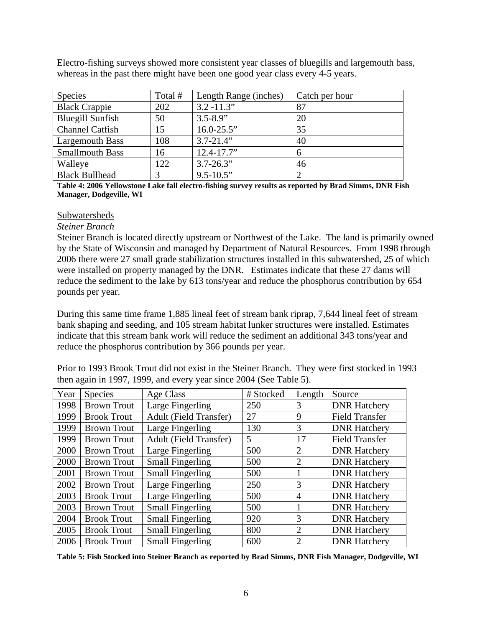Electro-fishing surveys showed more consistent year classes of bluegills and largemouth bass, whereas in the past there might have been one good year class every 4-5 years.

| <b>Species</b>          | Total # | Length Range (inches) | Catch per hour |
|-------------------------|---------|-----------------------|----------------|
| <b>Black Crappie</b>    | 202     | $3.2 - 11.3"$         | 87             |
| <b>Bluegill Sunfish</b> | 50      | $3.5 - 8.9"$          | 20             |
| <b>Channel Catfish</b>  | 15      | $16.0 - 25.5$ "       | 35             |
| Largemouth Bass         | 108     | $3.7 - 21.4$ "        | 40             |
| <b>Smallmouth Bass</b>  | 16      | $12.4 - 17.7$ "       | 6              |
| Walleye                 | 122     | $3.7 - 26.3"$         | 46             |
| <b>Black Bullhead</b>   |         | $9.5 - 10.5$ "        |                |

**Table 4: 2006 Yellowstone Lake fall electro-fishing survey results as reported by Brad Simms, DNR Fish Manager, Dodgeville, WI** 

#### Subwatersheds

#### *Steiner Branch*

Steiner Branch is located directly upstream or Northwest of the Lake. The land is primarily owned by the State of Wisconsin and managed by Department of Natural Resources. From 1998 through 2006 there were 27 small grade stabilization structures installed in this subwatershed, 25 of which were installed on property managed by the DNR. Estimates indicate that these 27 dams will reduce the sediment to the lake by 613 tons/year and reduce the phosphorus contribution by 654 pounds per year.

During this same time frame 1,885 lineal feet of stream bank riprap, 7,644 lineal feet of stream bank shaping and seeding, and 105 stream habitat lunker structures were installed. Estimates indicate that this stream bank work will reduce the sediment an additional 343 tons/year and reduce the phosphorus contribution by 366 pounds per year.

Prior to 1993 Brook Trout did not exist in the Steiner Branch. They were first stocked in 1993 then again in 1997, 1999, and every year since 2004 (See Table 5).

| Year | Species            | Age Class                     | # Stocked | Length         | Source                |
|------|--------------------|-------------------------------|-----------|----------------|-----------------------|
| 1998 | <b>Brown Trout</b> | Large Fingerling              | 250       | 3              | <b>DNR Hatchery</b>   |
| 1999 | <b>Brook Trout</b> | <b>Adult (Field Transfer)</b> | 27        | 9              | <b>Field Transfer</b> |
| 1999 | <b>Brown Trout</b> | Large Fingerling              | 130       | 3              | <b>DNR Hatchery</b>   |
| 1999 | <b>Brown Trout</b> | <b>Adult (Field Transfer)</b> | 5         | 17             | <b>Field Transfer</b> |
| 2000 | <b>Brown Trout</b> | Large Fingerling              | 500       | 2              | <b>DNR Hatchery</b>   |
| 2000 | <b>Brown Trout</b> | <b>Small Fingerling</b>       | 500       | $\overline{2}$ | <b>DNR Hatchery</b>   |
| 2001 | <b>Brown Trout</b> | <b>Small Fingerling</b>       | 500       |                | <b>DNR Hatchery</b>   |
| 2002 | <b>Brown Trout</b> | Large Fingerling              | 250       | 3              | <b>DNR Hatchery</b>   |
| 2003 | <b>Brook Trout</b> | Large Fingerling              | 500       | 4              | <b>DNR Hatchery</b>   |
| 2003 | <b>Brown Trout</b> | <b>Small Fingerling</b>       | 500       |                | <b>DNR Hatchery</b>   |
| 2004 | <b>Brook Trout</b> | <b>Small Fingerling</b>       | 920       | 3              | <b>DNR Hatchery</b>   |
| 2005 | <b>Brook Trout</b> | <b>Small Fingerling</b>       | 800       | $\overline{2}$ | <b>DNR Hatchery</b>   |
| 2006 | <b>Brook Trout</b> | <b>Small Fingerling</b>       | 600       | $\overline{2}$ | <b>DNR Hatchery</b>   |

**Table 5: Fish Stocked into Steiner Branch as reported by Brad Simms, DNR Fish Manager, Dodgeville, WI**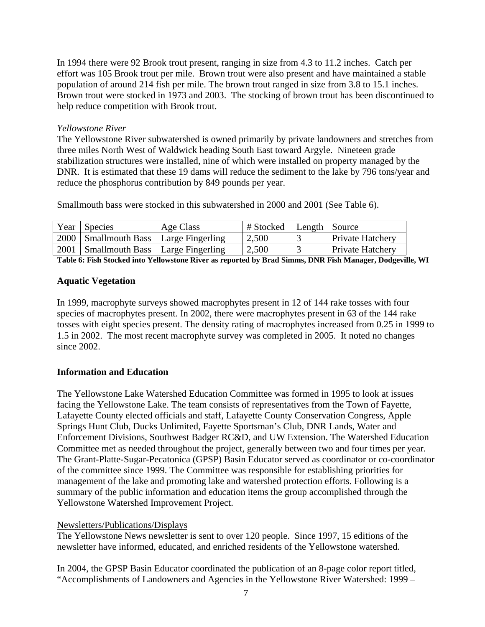In 1994 there were 92 Brook trout present, ranging in size from 4.3 to 11.2 inches. Catch per effort was 105 Brook trout per mile. Brown trout were also present and have maintained a stable population of around 214 fish per mile. The brown trout ranged in size from 3.8 to 15.1 inches. Brown trout were stocked in 1973 and 2003. The stocking of brown trout has been discontinued to help reduce competition with Brook trout.

# *Yellowstone River*

The Yellowstone River subwatershed is owned primarily by private landowners and stretches from three miles North West of Waldwick heading South East toward Argyle. Nineteen grade stabilization structures were installed, nine of which were installed on property managed by the DNR. It is estimated that these 19 dams will reduce the sediment to the lake by 796 tons/year and reduce the phosphorus contribution by 849 pounds per year.

Smallmouth bass were stocked in this subwatershed in 2000 and 2001 (See Table 6).

| Year | Species                                   | Age Class | # Stocked | Length   Source |                         |
|------|-------------------------------------------|-----------|-----------|-----------------|-------------------------|
|      | 2000   Smallmouth Bass   Large Fingerling |           | 2,500     |                 | <b>Private Hatchery</b> |
|      | 2001   Smallmouth Bass   Large Fingerling |           | 2,500     |                 | <b>Private Hatchery</b> |

**Table 6: Fish Stocked into Yellowstone River as reported by Brad Simms, DNR Fish Manager, Dodgeville, WI**

# **Aquatic Vegetation**

In 1999, macrophyte surveys showed macrophytes present in 12 of 144 rake tosses with four species of macrophytes present. In 2002, there were macrophytes present in 63 of the 144 rake tosses with eight species present. The density rating of macrophytes increased from 0.25 in 1999 to 1.5 in 2002. The most recent macrophyte survey was completed in 2005. It noted no changes since 2002.

# **Information and Education**

The Yellowstone Lake Watershed Education Committee was formed in 1995 to look at issues facing the Yellowstone Lake. The team consists of representatives from the Town of Fayette, Lafayette County elected officials and staff, Lafayette County Conservation Congress, Apple Springs Hunt Club, Ducks Unlimited, Fayette Sportsman's Club, DNR Lands, Water and Enforcement Divisions, Southwest Badger RC&D, and UW Extension. The Watershed Education Committee met as needed throughout the project, generally between two and four times per year. The Grant-Platte-Sugar-Pecatonica (GPSP) Basin Educator served as coordinator or co-coordinator of the committee since 1999. The Committee was responsible for establishing priorities for management of the lake and promoting lake and watershed protection efforts. Following is a summary of the public information and education items the group accomplished through the Yellowstone Watershed Improvement Project.

# Newsletters/Publications/Displays

The Yellowstone News newsletter is sent to over 120 people. Since 1997, 15 editions of the newsletter have informed, educated, and enriched residents of the Yellowstone watershed.

In 2004, the GPSP Basin Educator coordinated the publication of an 8-page color report titled, "Accomplishments of Landowners and Agencies in the Yellowstone River Watershed: 1999 –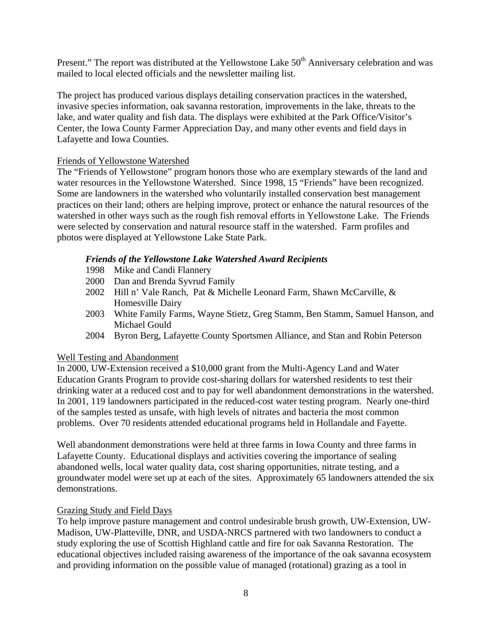Present." The report was distributed at the Yellowstone Lake 50<sup>th</sup> Anniversary celebration and was mailed to local elected officials and the newsletter mailing list.

The project has produced various displays detailing conservation practices in the watershed, invasive species information, oak savanna restoration, improvements in the lake, threats to the lake, and water quality and fish data. The displays were exhibited at the Park Office/Visitor's Center, the Iowa County Farmer Appreciation Day, and many other events and field days in Lafayette and Iowa Counties.

# Friends of Yellowstone Watershed

The "Friends of Yellowstone" program honors those who are exemplary stewards of the land and water resources in the Yellowstone Watershed. Since 1998, 15 "Friends" have been recognized. Some are landowners in the watershed who voluntarily installed conservation best management practices on their land; others are helping improve, protect or enhance the natural resources of the watershed in other ways such as the rough fish removal efforts in Yellowstone Lake. The Friends were selected by conservation and natural resource staff in the watershed. Farm profiles and photos were displayed at Yellowstone Lake State Park.

# *Friends of the Yellowstone Lake Watershed Award Recipients*

- 1998 Mike and Candi Flannery
- 2000 Dan and Brenda Syvrud Family
- 2002 Hill n' Vale Ranch, Pat & Michelle Leonard Farm, Shawn McCarville, & Homesville Dairy
- 2003 White Family Farms, Wayne Stietz, Greg Stamm, Ben Stamm, Samuel Hanson, and Michael Gould
- 2004 Byron Berg, Lafayette County Sportsmen Alliance, and Stan and Robin Peterson

# Well Testing and Abandonment

In 2000, UW-Extension received a \$10,000 grant from the Multi-Agency Land and Water Education Grants Program to provide cost-sharing dollars for watershed residents to test their drinking water at a reduced cost and to pay for well abandonment demonstrations in the watershed. In 2001, 119 landowners participated in the reduced-cost water testing program. Nearly one-third of the samples tested as unsafe, with high levels of nitrates and bacteria the most common problems. Over 70 residents attended educational programs held in Hollandale and Fayette.

Well abandonment demonstrations were held at three farms in Iowa County and three farms in Lafayette County. Educational displays and activities covering the importance of sealing abandoned wells, local water quality data, cost sharing opportunities, nitrate testing, and a groundwater model were set up at each of the sites. Approximately 65 landowners attended the six demonstrations.

# Grazing Study and Field Days

To help improve pasture management and control undesirable brush growth, UW-Extension, UW-Madison, UW-Platteville, DNR, and USDA-NRCS partnered with two landowners to conduct a study exploring the use of Scottish Highland cattle and fire for oak Savanna Restoration. The educational objectives included raising awareness of the importance of the oak savanna ecosystem and providing information on the possible value of managed (rotational) grazing as a tool in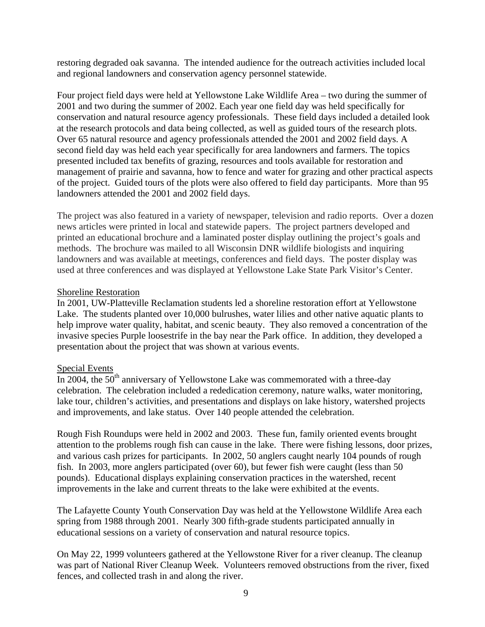restoring degraded oak savanna. The intended audience for the outreach activities included local and regional landowners and conservation agency personnel statewide.

Four project field days were held at Yellowstone Lake Wildlife Area – two during the summer of 2001 and two during the summer of 2002. Each year one field day was held specifically for conservation and natural resource agency professionals. These field days included a detailed look at the research protocols and data being collected, as well as guided tours of the research plots. Over 65 natural resource and agency professionals attended the 2001 and 2002 field days. A second field day was held each year specifically for area landowners and farmers. The topics presented included tax benefits of grazing, resources and tools available for restoration and management of prairie and savanna, how to fence and water for grazing and other practical aspects of the project. Guided tours of the plots were also offered to field day participants. More than 95 landowners attended the 2001 and 2002 field days.

The project was also featured in a variety of newspaper, television and radio reports. Over a dozen news articles were printed in local and statewide papers. The project partners developed and printed an educational brochure and a laminated poster display outlining the project's goals and methods. The brochure was mailed to all Wisconsin DNR wildlife biologists and inquiring landowners and was available at meetings, conferences and field days. The poster display was used at three conferences and was displayed at Yellowstone Lake State Park Visitor's Center.

# Shoreline Restoration

In 2001, UW-Platteville Reclamation students led a shoreline restoration effort at Yellowstone Lake. The students planted over 10,000 bulrushes, water lilies and other native aquatic plants to help improve water quality, habitat, and scenic beauty. They also removed a concentration of the invasive species Purple loosestrife in the bay near the Park office. In addition, they developed a presentation about the project that was shown at various events.

# Special Events

In 2004, the  $50<sup>th</sup>$  anniversary of Yellowstone Lake was commemorated with a three-day celebration. The celebration included a rededication ceremony, nature walks, water monitoring, lake tour, children's activities, and presentations and displays on lake history, watershed projects and improvements, and lake status. Over 140 people attended the celebration.

Rough Fish Roundups were held in 2002 and 2003. These fun, family oriented events brought attention to the problems rough fish can cause in the lake. There were fishing lessons, door prizes, and various cash prizes for participants. In 2002, 50 anglers caught nearly 104 pounds of rough fish. In 2003, more anglers participated (over 60), but fewer fish were caught (less than 50 pounds). Educational displays explaining conservation practices in the watershed, recent improvements in the lake and current threats to the lake were exhibited at the events.

The Lafayette County Youth Conservation Day was held at the Yellowstone Wildlife Area each spring from 1988 through 2001. Nearly 300 fifth-grade students participated annually in educational sessions on a variety of conservation and natural resource topics.

On May 22, 1999 volunteers gathered at the Yellowstone River for a river cleanup. The cleanup was part of National River Cleanup Week. Volunteers removed obstructions from the river, fixed fences, and collected trash in and along the river.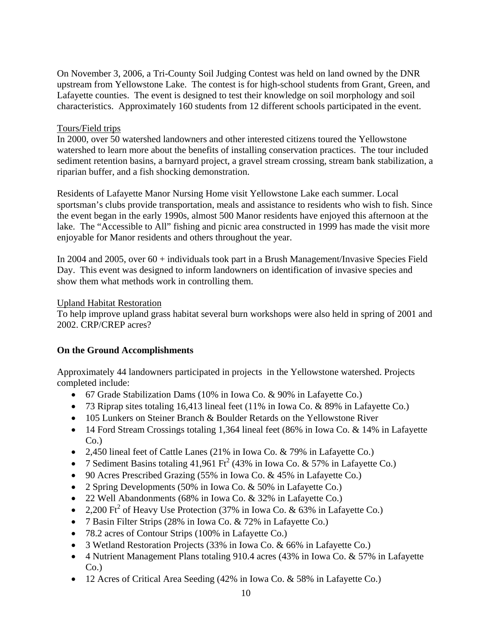On November 3, 2006, a Tri-County Soil Judging Contest was held on land owned by the DNR upstream from Yellowstone Lake. The contest is for high-school students from Grant, Green, and Lafayette counties. The event is designed to test their knowledge on soil morphology and soil characteristics. Approximately 160 students from 12 different schools participated in the event.

# Tours/Field trips

In 2000, over 50 watershed landowners and other interested citizens toured the Yellowstone watershed to learn more about the benefits of installing conservation practices. The tour included sediment retention basins, a barnyard project, a gravel stream crossing, stream bank stabilization, a riparian buffer, and a fish shocking demonstration.

Residents of Lafayette Manor Nursing Home visit Yellowstone Lake each summer. Local sportsman's clubs provide transportation, meals and assistance to residents who wish to fish. Since the event began in the early 1990s, almost 500 Manor residents have enjoyed this afternoon at the lake. The "Accessible to All" fishing and picnic area constructed in 1999 has made the visit more enjoyable for Manor residents and others throughout the year.

In 2004 and 2005, over 60 + individuals took part in a Brush Management/Invasive Species Field Day. This event was designed to inform landowners on identification of invasive species and show them what methods work in controlling them.

# Upland Habitat Restoration

To help improve upland grass habitat several burn workshops were also held in spring of 2001 and 2002. CRP/CREP acres?

# **On the Ground Accomplishments**

Approximately 44 landowners participated in projects in the Yellowstone watershed. Projects completed include:

- 67 Grade Stabilization Dams (10% in Iowa Co. & 90% in Lafayette Co.)
- 73 Riprap sites totaling 16,413 lineal feet (11% in Iowa Co. & 89% in Lafayette Co.)
- 105 Lunkers on Steiner Branch & Boulder Retards on the Yellowstone River
- 14 Ford Stream Crossings totaling 1,364 lineal feet (86% in Iowa Co. & 14% in Lafayette  $Co.$ )
- 2,450 lineal feet of Cattle Lanes (21% in Iowa Co. & 79% in Lafayette Co.)
- 7 Sediment Basins totaling 41,961 Ft<sup>2</sup> (43% in Iowa Co. & 57% in Lafayette Co.)
- 90 Acres Prescribed Grazing (55% in Iowa Co. & 45% in Lafayette Co.)
- 2 Spring Developments (50% in Iowa Co. & 50% in Lafayette Co.)
- 22 Well Abandonments (68% in Iowa Co. & 32% in Lafayette Co.)
- 2,200  $\text{Ft}^2$  of Heavy Use Protection (37% in Iowa Co. & 63% in Lafayette Co.)
- 7 Basin Filter Strips (28% in Iowa Co. & 72% in Lafayette Co.)
- 78.2 acres of Contour Strips (100% in Lafayette Co.)
- 3 Wetland Restoration Projects (33% in Iowa Co. & 66% in Lafayette Co.)
- 4 Nutrient Management Plans totaling 910.4 acres (43% in Iowa Co. & 57% in Lafayette  $Co.$ )
- 12 Acres of Critical Area Seeding (42% in Iowa Co. & 58% in Lafayette Co.)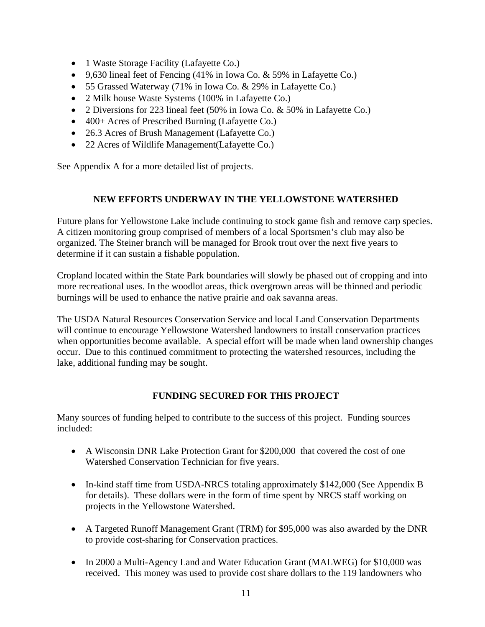- 1 Waste Storage Facility (Lafayette Co.)
- 9,630 lineal feet of Fencing  $(41\%$  in Iowa Co. & 59% in Lafayette Co.)
- 55 Grassed Waterway (71% in Iowa Co. & 29% in Lafayette Co.)
- 2 Milk house Waste Systems (100% in Lafayette Co.)
- 2 Diversions for 223 lineal feet (50% in Iowa Co. & 50% in Lafayette Co.)
- 400+ Acres of Prescribed Burning (Lafayette Co.)
- 26.3 Acres of Brush Management (Lafayette Co.)
- 22 Acres of Wildlife Management (Lafayette Co.)

See Appendix A for a more detailed list of projects.

# **NEW EFFORTS UNDERWAY IN THE YELLOWSTONE WATERSHED**

Future plans for Yellowstone Lake include continuing to stock game fish and remove carp species. A citizen monitoring group comprised of members of a local Sportsmen's club may also be organized. The Steiner branch will be managed for Brook trout over the next five years to determine if it can sustain a fishable population.

Cropland located within the State Park boundaries will slowly be phased out of cropping and into more recreational uses. In the woodlot areas, thick overgrown areas will be thinned and periodic burnings will be used to enhance the native prairie and oak savanna areas.

The USDA Natural Resources Conservation Service and local Land Conservation Departments will continue to encourage Yellowstone Watershed landowners to install conservation practices when opportunities become available. A special effort will be made when land ownership changes occur. Due to this continued commitment to protecting the watershed resources, including the lake, additional funding may be sought.

# **FUNDING SECURED FOR THIS PROJECT**

Many sources of funding helped to contribute to the success of this project. Funding sources included:

- A Wisconsin DNR Lake Protection Grant for \$200,000 that covered the cost of one Watershed Conservation Technician for five years.
- In-kind staff time from USDA-NRCS totaling approximately \$142,000 (See Appendix B for details). These dollars were in the form of time spent by NRCS staff working on projects in the Yellowstone Watershed.
- A Targeted Runoff Management Grant (TRM) for \$95,000 was also awarded by the DNR to provide cost-sharing for Conservation practices.
- In 2000 a Multi-Agency Land and Water Education Grant (MALWEG) for \$10,000 was received. This money was used to provide cost share dollars to the 119 landowners who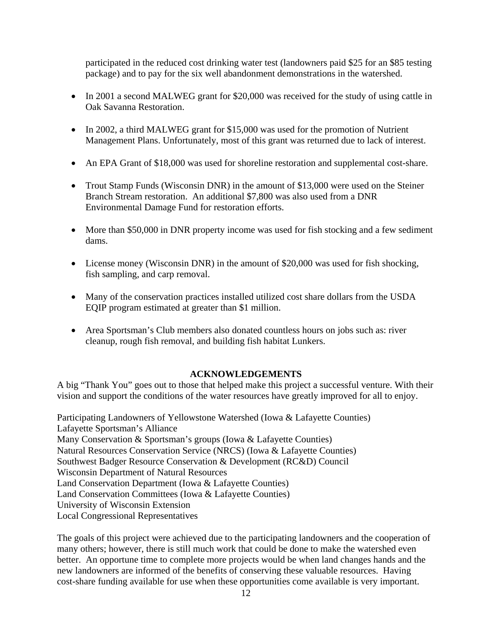participated in the reduced cost drinking water test (landowners paid \$25 for an \$85 testing package) and to pay for the six well abandonment demonstrations in the watershed.

- In 2001 a second MALWEG grant for \$20,000 was received for the study of using cattle in Oak Savanna Restoration.
- In 2002, a third MALWEG grant for \$15,000 was used for the promotion of Nutrient Management Plans. Unfortunately, most of this grant was returned due to lack of interest.
- An EPA Grant of \$18,000 was used for shoreline restoration and supplemental cost-share.
- Trout Stamp Funds (Wisconsin DNR) in the amount of \$13,000 were used on the Steiner Branch Stream restoration. An additional \$7,800 was also used from a DNR Environmental Damage Fund for restoration efforts.
- More than \$50,000 in DNR property income was used for fish stocking and a few sediment dams.
- License money (Wisconsin DNR) in the amount of \$20,000 was used for fish shocking, fish sampling, and carp removal.
- Many of the conservation practices installed utilized cost share dollars from the USDA EQIP program estimated at greater than \$1 million.
- Area Sportsman's Club members also donated countless hours on jobs such as: river cleanup, rough fish removal, and building fish habitat Lunkers.

# **ACKNOWLEDGEMENTS**

A big "Thank You" goes out to those that helped make this project a successful venture. With their vision and support the conditions of the water resources have greatly improved for all to enjoy.

Participating Landowners of Yellowstone Watershed (Iowa & Lafayette Counties) Lafayette Sportsman's Alliance Many Conservation & Sportsman's groups (Iowa & Lafayette Counties) Natural Resources Conservation Service (NRCS) (Iowa & Lafayette Counties) Southwest Badger Resource Conservation & Development (RC&D) Council Wisconsin Department of Natural Resources Land Conservation Department (Iowa & Lafayette Counties) Land Conservation Committees (Iowa & Lafayette Counties) University of Wisconsin Extension Local Congressional Representatives

The goals of this project were achieved due to the participating landowners and the cooperation of many others; however, there is still much work that could be done to make the watershed even better. An opportune time to complete more projects would be when land changes hands and the new landowners are informed of the benefits of conserving these valuable resources. Having cost-share funding available for use when these opportunities come available is very important.